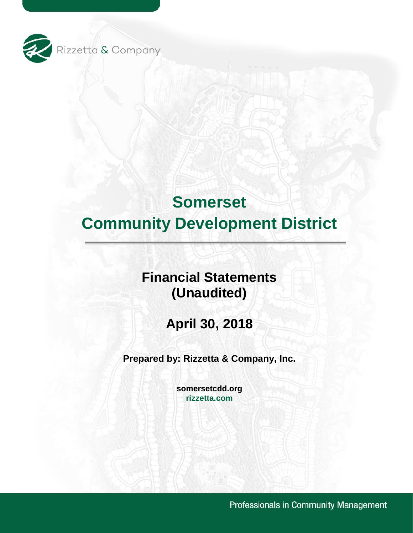

# **Financial Statements (Unaudited)**

**April 30, 2018** 

**Prepared by: Rizzetta & Company, Inc.** 

**[somersetcdd.org](https://somersetcdd.org) [rizzetta.com](https://rizzetta.com)** 

Professionals in Community Management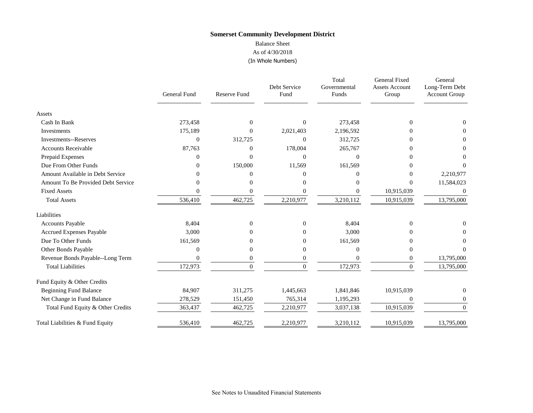# **Somerset Community Development District**  Balance Sheet

# As of 4/30/2018

(In Whole Numbers)

|                                    | <b>General Fund</b> | <b>Reserve Fund</b> | Debt Service<br>Fund | Total<br>Governmental<br>Funds | General Fixed<br><b>Assets Account</b><br>Group | General<br>Long-Term Debt<br><b>Account Group</b> |
|------------------------------------|---------------------|---------------------|----------------------|--------------------------------|-------------------------------------------------|---------------------------------------------------|
| Assets                             |                     |                     |                      |                                |                                                 |                                                   |
| Cash In Bank                       | 273,458             | $\Omega$            | $\Omega$             | 273,458                        | $\overline{0}$                                  | $\Omega$                                          |
| Investments                        | 175,189             | 0                   | 2,021,403            | 2,196,592                      | 0                                               | $\Omega$                                          |
| <b>Investments--Reserves</b>       | $\theta$            | 312,725             | $\Omega$             | 312,725                        | 0                                               | $\Omega$                                          |
| <b>Accounts Receivable</b>         | 87,763              | 0                   | 178,004              | 265,767                        |                                                 | 0                                                 |
| Prepaid Expenses                   |                     | 0                   | $\Omega$             | $\Omega$                       |                                                 | 0                                                 |
| Due From Other Funds               | 0                   | 150,000             | 11,569               | 161,569                        | 0                                               | $\Omega$                                          |
| Amount Available in Debt Service   |                     | 0                   | $\Omega$             |                                | 0                                               | 2,210,977                                         |
| Amount To Be Provided Debt Service |                     | 0                   | $\Omega$             |                                | $\theta$                                        | 11,584,023                                        |
| <b>Fixed Assets</b>                |                     |                     | $\Omega$             |                                | 10,915,039                                      | $\theta$                                          |
| <b>Total Assets</b>                | 536,410             | 462,725             | 2,210,977            | 3,210,112                      | 10,915,039                                      | 13,795,000                                        |
| Liabilities                        |                     |                     |                      |                                |                                                 |                                                   |
| <b>Accounts Payable</b>            | 8,404               | $\overline{0}$      | $\mathbf{0}$         | 8,404                          | $\overline{0}$                                  | $\theta$                                          |
| Accrued Expenses Payable           | 3,000               | 0                   | $\Omega$             | 3,000                          | 0                                               | 0                                                 |
| Due To Other Funds                 | 161,569             |                     | $\Omega$             | 161,569                        |                                                 | $\Omega$                                          |
| Other Bonds Payable                |                     | 0                   | $\theta$             | 0                              | $\theta$                                        | 0                                                 |
| Revenue Bonds Payable--Long Term   |                     | 0                   | $\boldsymbol{0}$     |                                | 0                                               | 13,795,000                                        |
| <b>Total Liabilities</b>           | 172,973             | $\Omega$            | $\Omega$             | 172,973                        | $\theta$                                        | 13,795,000                                        |
| Fund Equity & Other Credits        |                     |                     |                      |                                |                                                 |                                                   |
| <b>Beginning Fund Balance</b>      | 84,907              | 311,275             | 1,445,663            | 1,841,846                      | 10,915,039                                      | $\theta$                                          |
| Net Change in Fund Balance         | 278,529             | 151,450             | 765,314              | 1,195,293                      | $\overline{0}$                                  | $\overline{0}$                                    |
| Total Fund Equity & Other Credits  | 363,437             | 462,725             | 2,210,977            | 3,037,138                      | 10,915,039                                      | $\mathbf{0}$                                      |
| Total Liabilities & Fund Equity    | 536,410             | 462,725             | 2,210,977            | 3,210,112                      | 10,915,039                                      | 13,795,000                                        |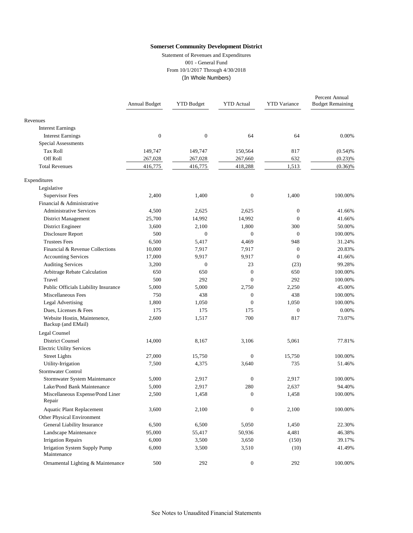Statement of Revenues and Expenditures 001 - General Fund From 10/1/2017 Through 4/30/2018 (In Whole Numbers)

|                                                    | Annual Budget    | <b>YTD Budget</b> | <b>YTD</b> Actual | <b>YTD</b> Variance | Percent Annual<br><b>Budget Remaining</b> |
|----------------------------------------------------|------------------|-------------------|-------------------|---------------------|-------------------------------------------|
| Revenues                                           |                  |                   |                   |                     |                                           |
| <b>Interest Earnings</b>                           |                  |                   |                   |                     |                                           |
| <b>Interest Earnings</b>                           | $\boldsymbol{0}$ | $\boldsymbol{0}$  | 64                | 64                  | 0.00%                                     |
| <b>Special Assessments</b>                         |                  |                   |                   |                     |                                           |
| <b>Tax Roll</b>                                    | 149,747          | 149,747           | 150,564           | 817                 | (0.54)%                                   |
| Off Roll                                           | 267,028          | 267,028           | 267,660           | 632                 | (0.23)%                                   |
| <b>Total Revenues</b>                              | 416,775          | 416,775           | 418,288           | 1,513               | $(0.36)\%$                                |
| Expenditures                                       |                  |                   |                   |                     |                                           |
| Legislative                                        |                  |                   |                   |                     |                                           |
| <b>Supervisor Fees</b>                             | 2,400            | 1,400             | $\boldsymbol{0}$  | 1,400               | 100.00%                                   |
| Financial & Administrative                         |                  |                   |                   |                     |                                           |
| <b>Administrative Services</b>                     | 4,500            | 2,625             | 2,625             | $\mathbf{0}$        | 41.66%                                    |
| District Management                                | 25,700           | 14,992            | 14,992            | $\mathbf{0}$        | 41.66%                                    |
| District Engineer                                  | 3,600            | 2,100             | 1,800             | 300                 | 50.00%                                    |
| Disclosure Report                                  | 500              | $\overline{0}$    | $\overline{0}$    | $\mathbf{0}$        | 100.00%                                   |
| <b>Trustees Fees</b>                               | 6,500            | 5,417             | 4,469             | 948                 | 31.24%                                    |
| Financial & Revenue Collections                    | 10,000           | 7,917             | 7,917             | $\mathbf{0}$        | 20.83%                                    |
| <b>Accounting Services</b>                         | 17,000           | 9,917             | 9,917             | $\mathbf{0}$        | 41.66%                                    |
| <b>Auditing Services</b>                           | 3,200            | $\boldsymbol{0}$  | 23                | (23)                | 99.28%                                    |
| Arbitrage Rebate Calculation                       | 650              | 650               | $\boldsymbol{0}$  | 650                 | 100.00%                                   |
| Travel                                             | 500              | 292               | $\overline{0}$    | 292                 | 100.00%                                   |
| Public Officials Liability Insurance               | 5,000            | 5,000             | 2,750             | 2,250               | 45.00%                                    |
| Miscellaneous Fees                                 | 750              | 438               | $\boldsymbol{0}$  | 438                 | 100.00%                                   |
| <b>Legal Advertising</b>                           | 1,800            | 1,050             | $\overline{0}$    | 1,050               | 100.00%                                   |
| Dues, Licenses & Fees                              | 175              | 175               | 175               | $\mathbf{0}$        | 0.00%                                     |
| Website Hostin, Maintenence,<br>Backup (and EMail) | 2,600            | 1,517             | 700               | 817                 | 73.07%                                    |
| Legal Counsel                                      |                  |                   |                   |                     |                                           |
| <b>District Counsel</b>                            | 14,000           | 8,167             | 3,106             | 5,061               | 77.81%                                    |
| <b>Electric Utility Services</b>                   |                  |                   |                   |                     |                                           |
| <b>Street Lights</b>                               | 27,000           | 15,750            | $\boldsymbol{0}$  | 15,750              | 100.00%                                   |
| Utility-Irrigation                                 | 7,500            | 4,375             | 3,640             | 735                 | 51.46%                                    |
| Stormwater Control                                 |                  |                   |                   |                     |                                           |
| Stormwater System Maintenance                      | 5,000            | 2,917             | $\boldsymbol{0}$  | 2,917               | 100.00%                                   |
| Lake/Pond Bank Maintenance                         | 5,000            | 2,917             | 280               | 2,637               | 94.40%                                    |
| Miscellaneous Expense/Pond Liner<br>Repair         | 2,500            | 1,458             | $\overline{0}$    | 1,458               | 100.00%                                   |
| <b>Aquatic Plant Replacement</b>                   | 3,600            | 2,100             | $\boldsymbol{0}$  | 2,100               | 100.00%                                   |
| Other Physical Environment                         |                  |                   |                   |                     |                                           |
| General Liability Insurance                        | 6,500            | 6,500             | 5,050             | 1,450               | 22.30%                                    |
| Landscape Maintenance                              | 95,000           | 55,417            | 50,936            | 4,481               | 46.38%                                    |
| <b>Irrigation Repairs</b>                          | 6,000            | 3,500             | 3,650             | (150)               | 39.17%                                    |
| Irrigation System Supply Pump<br>Maintenance       | 6,000            | 3,500             | 3,510             | (10)                | 41.49%                                    |
| Ornamental Lighting & Maintenance                  | 500              | 292               | $\boldsymbol{0}$  | 292                 | 100.00%                                   |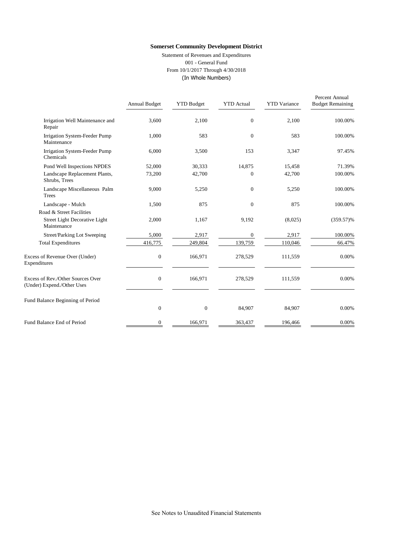Statement of Revenues and Expenditures 001 - General Fund From 10/1/2017 Through 4/30/2018 (In Whole Numbers)

|                                                                 | Annual Budget | <b>YTD Budget</b> | <b>YTD</b> Actual | <b>YTD</b> Variance | Percent Annual<br><b>Budget Remaining</b> |
|-----------------------------------------------------------------|---------------|-------------------|-------------------|---------------------|-------------------------------------------|
| Irrigation Well Maintenance and<br>Repair                       | 3,600         | 2,100             | $\overline{0}$    | 2,100               | 100.00%                                   |
| Irrigation System-Feeder Pump<br>Maintenance                    | 1,000         | 583               | $\overline{0}$    | 583                 | 100.00%                                   |
| Irrigation System-Feeder Pump<br>Chemicals                      | 6,000         | 3,500             | 153               | 3,347               | 97.45%                                    |
| Pond Well Inspections NPDES                                     | 52,000        | 30,333            | 14,875            | 15,458              | 71.39%                                    |
| Landscape Replacement Plants,<br>Shrubs, Trees                  | 73,200        | 42,700            | $\overline{0}$    | 42,700              | 100.00%                                   |
| Landscape Miscellaneous Palm<br>Trees                           | 9,000         | 5,250             | $\overline{0}$    | 5,250               | 100.00%                                   |
| Landscape - Mulch                                               | 1,500         | 875               | $\overline{0}$    | 875                 | 100.00%                                   |
| Road & Street Facilities                                        |               |                   |                   |                     |                                           |
| Street Light Decorative Light<br>Maintenance                    | 2,000         | 1,167             | 9,192             | (8,025)             | $(359.57)\%$                              |
| Street/Parking Lot Sweeping                                     | 5,000         | 2,917             | $\overline{0}$    | 2,917               | 100.00%                                   |
| <b>Total Expenditures</b>                                       | 416,775       | 249,804           | 139,759           | 110,046             | 66.47%                                    |
| Excess of Revenue Over (Under)<br>Expenditures                  | $\mathbf{0}$  | 166,971           | 278,529           | 111,559             | 0.00%                                     |
| Excess of Rev./Other Sources Over<br>(Under) Expend./Other Uses | $\mathbf{0}$  | 166,971           | 278,529           | 111,559             | 0.00%                                     |
| Fund Balance Beginning of Period                                |               |                   |                   |                     |                                           |
|                                                                 | $\mathbf{0}$  | $\boldsymbol{0}$  | 84,907            | 84,907              | 0.00%                                     |
| Fund Balance End of Period                                      | $\mathbf{0}$  | 166,971           | 363,437           | 196,466             | 0.00%                                     |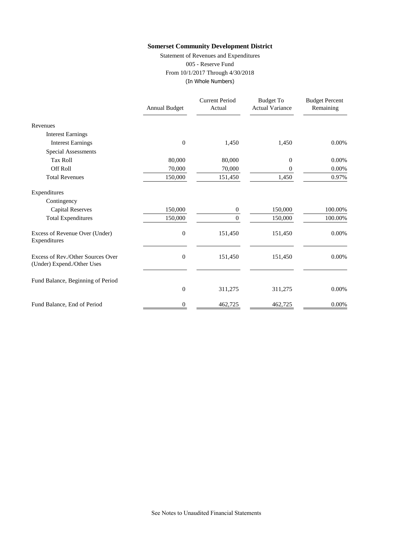Statement of Revenues and Expenditures 005 - Reserve Fund From 10/1/2017 Through 4/30/2018 (In Whole Numbers)

|                                                                 | <b>Annual Budget</b> | <b>Current Period</b><br>Actual | <b>Budget To</b><br><b>Actual Variance</b> | <b>Budget Percent</b><br>Remaining |
|-----------------------------------------------------------------|----------------------|---------------------------------|--------------------------------------------|------------------------------------|
| Revenues                                                        |                      |                                 |                                            |                                    |
| <b>Interest Earnings</b>                                        |                      |                                 |                                            |                                    |
| <b>Interest Earnings</b>                                        | $\overline{0}$       | 1,450                           | 1,450                                      | 0.00%                              |
| Special Assessments                                             |                      |                                 |                                            |                                    |
| <b>Tax Roll</b>                                                 | 80,000               | 80,000                          | 0                                          | 0.00%                              |
| <b>Off Roll</b>                                                 | 70,000               | 70,000                          | 0                                          | 0.00%                              |
| <b>Total Revenues</b>                                           | 150,000              | 151,450                         | 1,450                                      | 0.97%                              |
| Expenditures                                                    |                      |                                 |                                            |                                    |
| Contingency                                                     |                      |                                 |                                            |                                    |
| <b>Capital Reserves</b>                                         | 150,000              | 0                               | 150,000                                    | 100.00%                            |
| <b>Total Expenditures</b>                                       | 150,000              | $\Omega$                        | 150,000                                    | 100.00%                            |
| Excess of Revenue Over (Under)<br>Expenditures                  | $\boldsymbol{0}$     | 151,450                         | 151,450                                    | 0.00%                              |
| Excess of Rev./Other Sources Over<br>(Under) Expend./Other Uses | $\boldsymbol{0}$     | 151,450                         | 151,450                                    | 0.00%                              |
| Fund Balance, Beginning of Period                               |                      |                                 |                                            |                                    |
|                                                                 | $\boldsymbol{0}$     | 311,275                         | 311,275                                    | 0.00%                              |
| Fund Balance, End of Period                                     | 0                    | 462,725                         | 462,725                                    | 0.00%                              |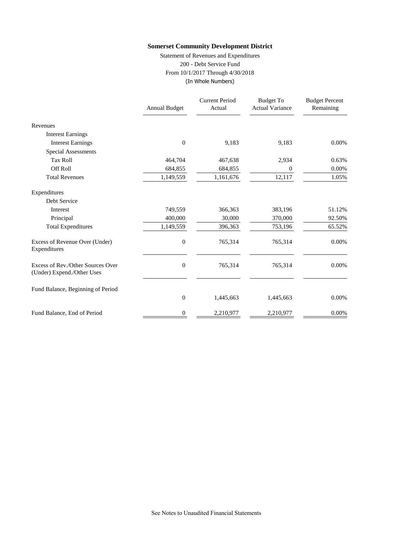Statement of Revenues and Expenditures 200 - Debt Service Fund From 10/1/2017 Through 4/30/2018 (In Whole Numbers)

|                                                                 | <b>Annual Budget</b> | <b>Current Period</b><br>Actual | <b>Budget To</b><br><b>Actual Variance</b> | <b>Budget Percent</b><br>Remaining |
|-----------------------------------------------------------------|----------------------|---------------------------------|--------------------------------------------|------------------------------------|
| Revenues                                                        |                      |                                 |                                            |                                    |
| <b>Interest Earnings</b>                                        |                      |                                 |                                            |                                    |
| <b>Interest Earnings</b>                                        | $\overline{0}$       | 9,183                           | 9,183                                      | 0.00%                              |
| Special Assessments                                             |                      |                                 |                                            |                                    |
| <b>Tax Roll</b>                                                 | 464,704              | 467,638                         | 2,934                                      | 0.63%                              |
| <b>Off Roll</b>                                                 | 684,855              | 684,855                         | 0                                          | 0.00%                              |
| <b>Total Revenues</b>                                           | 1,149,559            | 1,161,676                       | 12,117                                     | 1.05%                              |
| Expenditures                                                    |                      |                                 |                                            |                                    |
| Debt Service                                                    |                      |                                 |                                            |                                    |
| Interest                                                        | 749,559              | 366,363                         | 383,196                                    | 51.12%                             |
| Principal                                                       | 400,000              | 30,000                          | 370,000                                    | 92.50%                             |
| <b>Total Expenditures</b>                                       | 1,149,559            | 396,363                         | 753,196                                    | 65.52%                             |
| Excess of Revenue Over (Under)<br>Expenditures                  | $\boldsymbol{0}$     | 765,314                         | 765,314                                    | 0.00%                              |
| Excess of Rev./Other Sources Over<br>(Under) Expend./Other Uses | $\boldsymbol{0}$     | 765,314                         | 765,314                                    | 0.00%                              |
| Fund Balance, Beginning of Period                               |                      |                                 |                                            |                                    |
|                                                                 | $\boldsymbol{0}$     | 1,445,663                       | 1,445,663                                  | 0.00%                              |
| Fund Balance, End of Period                                     | 0                    | 2,210,977                       | 2,210,977                                  | 0.00%                              |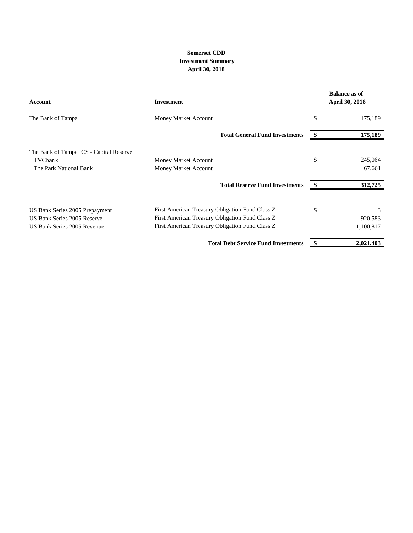# **April 30, 2018 Somerset CDD Investment Summary**

| <b>Account</b>                          | Investment                                      | <b>Balance as of</b><br><b>April 30, 2018</b> |
|-----------------------------------------|-------------------------------------------------|-----------------------------------------------|
| The Bank of Tampa                       | Money Market Account                            | \$<br>175,189                                 |
|                                         | <b>Total General Fund Investments</b>           | 175,189                                       |
| The Bank of Tampa ICS - Capital Reserve |                                                 |                                               |
| FVCbank                                 | Money Market Account                            | \$<br>245,064                                 |
| The Park National Bank                  | Money Market Account                            | 67,661                                        |
|                                         | <b>Total Reserve Fund Investments</b>           | 312,725                                       |
| US Bank Series 2005 Prepayment          | First American Treasury Obligation Fund Class Z | \$<br>3                                       |
| US Bank Series 2005 Reserve             | First American Treasury Obligation Fund Class Z | 920,583                                       |
| US Bank Series 2005 Revenue             | First American Treasury Obligation Fund Class Z | 1,100,817                                     |
|                                         | <b>Total Debt Service Fund Investments</b>      | 2,021,403                                     |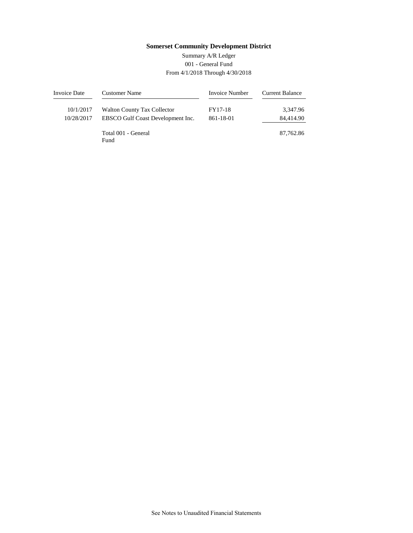# 001 - General Fund From 4/1/2018 Through 4/30/2018 Summary A/R Ledger

| Invoice Date | <b>Customer Name</b>               | Invoice Number | <b>Current Balance</b> |
|--------------|------------------------------------|----------------|------------------------|
| 10/1/2017    | <b>Walton County Tax Collector</b> | FY17-18        | 3,347.96               |
| 10/28/2017   | EBSCO Gulf Coast Development Inc.  | 861-18-01      | 84,414.90              |
|              | Total 001 - General<br>Fund        |                | 87,762.86              |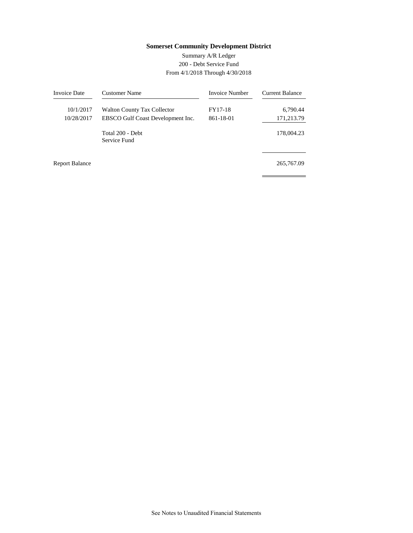# 200 - Debt Service Fund From 4/1/2018 Through 4/30/2018 Summary A/R Ledger

| <b>Invoice Date</b>     | Customer Name                                                           | Invoice Number       | <b>Current Balance</b> |
|-------------------------|-------------------------------------------------------------------------|----------------------|------------------------|
| 10/1/2017<br>10/28/2017 | <b>Walton County Tax Collector</b><br>EBSCO Gulf Coast Development Inc. | FY17-18<br>861-18-01 | 6,790.44<br>171,213.79 |
|                         | Total 200 - Debt<br>Service Fund                                        |                      | 178,004.23             |
| <b>Report Balance</b>   |                                                                         |                      | 265,767.09             |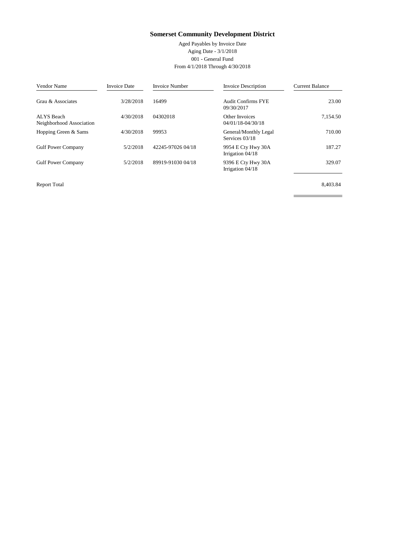Aged Payables by Invoice Date Aging Date - 3/1/2018 001 - General Fund From 4/1/2018 Through 4/30/2018

| Vendor Name                            | <b>Invoice Date</b> | <b>Invoice Number</b> | <b>Invoice Description</b>              | <b>Current Balance</b> |
|----------------------------------------|---------------------|-----------------------|-----------------------------------------|------------------------|
| Grau & Associates                      | 3/28/2018           | 16499                 | <b>Audit Confirms FYE</b><br>09/30/2017 | 23.00                  |
| ALYS Beach<br>Neighborhood Association | 4/30/2018           | 04302018              | Other Invoices<br>04/01/18-04/30/18     | 7,154.50               |
| Hopping Green & Sams                   | 4/30/2018           | 99953                 | General/Monthly Legal<br>Services 03/18 | 710.00                 |
| <b>Gulf Power Company</b>              | 5/2/2018            | 42245-97026 04/18     | 9954 E Cty Hwy 30A<br>Irrigation 04/18  | 187.27                 |
| <b>Gulf Power Company</b>              | 5/2/2018            | 89919-91030 04/18     | 9396 E Cty Hwy 30A<br>Irrigation 04/18  | 329.07                 |

Report Total Report Total 8,403.84

 $\overline{a}$